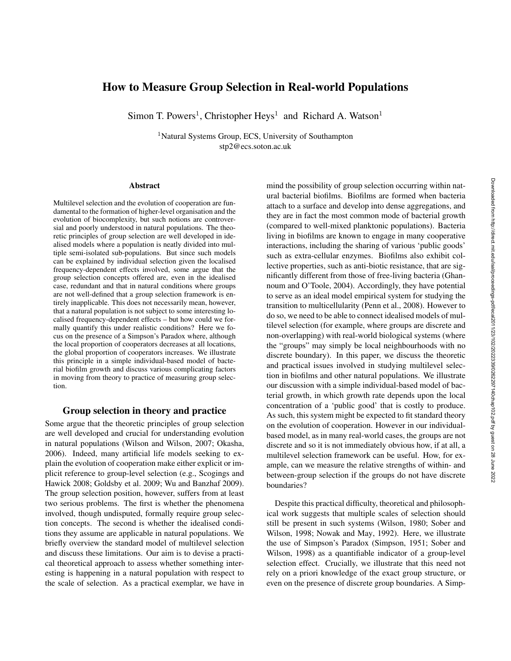# How to Measure Group Selection in Real-world Populations

Simon T. Powers<sup>1</sup>, Christopher Heys<sup>1</sup> and Richard A. Watson<sup>1</sup>

<sup>1</sup>Natural Systems Group, ECS, University of Southampton stp2@ecs.soton.ac.uk

#### Abstract

Multilevel selection and the evolution of cooperation are fundamental to the formation of higher-level organisation and the evolution of biocomplexity, but such notions are controversial and poorly understood in natural populations. The theoretic principles of group selection are well developed in idealised models where a population is neatly divided into multiple semi-isolated sub-populations. But since such models can be explained by individual selection given the localised frequency-dependent effects involved, some argue that the group selection concepts offered are, even in the idealised case, redundant and that in natural conditions where groups are not well-defined that a group selection framework is entirely inapplicable. This does not necessarily mean, however, that a natural population is not subject to some interesting localised frequency-dependent effects – but how could we formally quantify this under realistic conditions? Here we focus on the presence of a Simpson's Paradox where, although the local proportion of cooperators decreases at all locations, the global proportion of cooperators increases. We illustrate this principle in a simple individual-based model of bacterial biofilm growth and discuss various complicating factors in moving from theory to practice of measuring group selection.

### Group selection in theory and practice

Some argue that the theoretic principles of group selection are well developed and crucial for understanding evolution in natural populations (Wilson and Wilson, 2007; Okasha, 2006). Indeed, many artificial life models seeking to explain the evolution of cooperation make either explicit or implicit reference to group-level selection (e.g., Scogings and Hawick 2008; Goldsby et al. 2009; Wu and Banzhaf 2009). The group selection position, however, suffers from at least two serious problems. The first is whether the phenomena involved, though undisputed, formally require group selection concepts. The second is whether the idealised conditions they assume are applicable in natural populations. We briefly overview the standard model of multilevel selection and discuss these limitations. Our aim is to devise a practical theoretical approach to assess whether something interesting is happening in a natural population with respect to the scale of selection. As a practical exemplar, we have in

mind the possibility of group selection occurring within natural bacterial biofilms. Biofilms are formed when bacteria attach to a surface and develop into dense aggregations, and they are in fact the most common mode of bacterial growth (compared to well-mixed planktonic populations). Bacteria living in biofilms are known to engage in many cooperative interactions, including the sharing of various 'public goods' such as extra-cellular enzymes. Biofilms also exhibit collective properties, such as anti-biotic resistance, that are significantly different from those of free-living bacteria (Ghannoum and O'Toole, 2004). Accordingly, they have potential to serve as an ideal model empirical system for studying the transition to multicellularity (Penn et al., 2008). However to do so, we need to be able to connect idealised models of multilevel selection (for example, where groups are discrete and non-overlapping) with real-world biological systems (where the "groups" may simply be local neighbourhoods with no discrete boundary). In this paper, we discuss the theoretic and practical issues involved in studying multilevel selection in biofilms and other natural populations. We illustrate our discussion with a simple individual-based model of bacterial growth, in which growth rate depends upon the local concentration of a 'public good' that is costly to produce. As such, this system might be expected to fit standard theory on the evolution of cooperation. However in our individualbased model, as in many real-world cases, the groups are not discrete and so it is not immediately obvious how, if at all, a multilevel selection framework can be useful. How, for example, can we measure the relative strengths of within- and between-group selection if the groups do not have discrete boundaries?

Despite this practical difficulty, theoretical and philosophical work suggests that multiple scales of selection should still be present in such systems (Wilson, 1980; Sober and Wilson, 1998; Nowak and May, 1992). Here, we illustrate the use of Simpson's Paradox (Simpson, 1951; Sober and Wilson, 1998) as a quantifiable indicator of a group-level selection effect. Crucially, we illustrate that this need not rely on a priori knowledge of the exact group structure, or even on the presence of discrete group boundaries. A Simp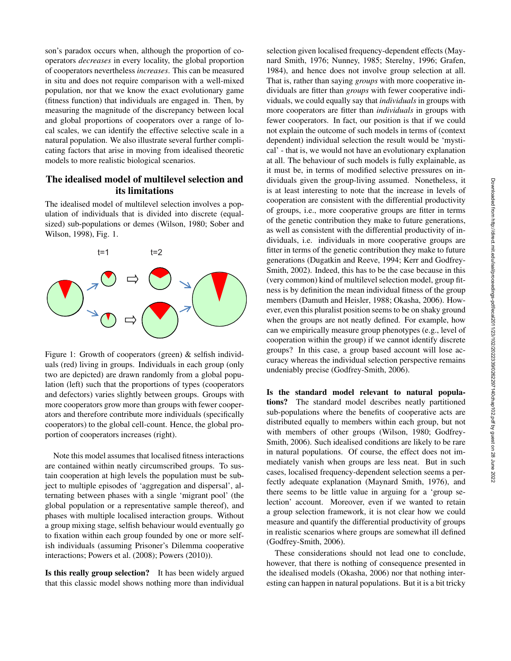son's paradox occurs when, although the proportion of cooperators *decreases* in every locality, the global proportion of cooperators nevertheless *increases*. This can be measured in situ and does not require comparison with a well-mixed population, nor that we know the exact evolutionary game (fitness function) that individuals are engaged in. Then, by measuring the magnitude of the discrepancy between local and global proportions of cooperators over a range of local scales, we can identify the effective selective scale in a natural population. We also illustrate several further complicating factors that arise in moving from idealised theoretic models to more realistic biological scenarios.

# The idealised model of multilevel selection and its limitations

The idealised model of multilevel selection involves a population of individuals that is divided into discrete (equalsized) sub-populations or demes (Wilson, 1980; Sober and Wilson, 1998), Fig. 1.



Figure 1: Growth of cooperators (green) & selfish individuals (red) living in groups. Individuals in each group (only two are depicted) are drawn randomly from a global population (left) such that the proportions of types (cooperators and defectors) varies slightly between groups. Groups with more cooperators grow more than groups with fewer cooperators and therefore contribute more individuals (specifically cooperators) to the global cell-count. Hence, the global proportion of cooperators increases (right).

Note this model assumes that localised fitness interactions are contained within neatly circumscribed groups. To sustain cooperation at high levels the population must be subject to multiple episodes of 'aggregation and dispersal', alternating between phases with a single 'migrant pool' (the global population or a representative sample thereof), and phases with multiple localised interaction groups. Without a group mixing stage, selfish behaviour would eventually go to fixation within each group founded by one or more selfish individuals (assuming Prisoner's Dilemma cooperative interactions; Powers et al. (2008); Powers (2010)).

Is this really group selection? It has been widely argued that this classic model shows nothing more than individual

selection given localised frequency-dependent effects (Maynard Smith, 1976; Nunney, 1985; Sterelny, 1996; Grafen, 1984), and hence does not involve group selection at all. That is, rather than saying *groups* with more cooperative individuals are fitter than *groups* with fewer cooperative individuals, we could equally say that *individuals* in groups with more cooperators are fitter than *individuals* in groups with fewer cooperators. In fact, our position is that if we could not explain the outcome of such models in terms of (context dependent) individual selection the result would be 'mystical' - that is, we would not have an evolutionary explanation at all. The behaviour of such models is fully explainable, as it must be, in terms of modified selective pressures on individuals given the group-living assumed. Nonetheless, it is at least interesting to note that the increase in levels of cooperation are consistent with the differential productivity of groups, i.e., more cooperative groups are fitter in terms of the genetic contribution they make to future generations, as well as consistent with the differential productivity of individuals, i.e. individuals in more cooperative groups are fitter in terms of the genetic contribution they make to future generations (Dugatkin and Reeve, 1994; Kerr and Godfrey-Smith, 2002). Indeed, this has to be the case because in this (very common) kind of multilevel selection model, group fitness is by definition the mean individual fitness of the group members (Damuth and Heisler, 1988; Okasha, 2006). However, even this pluralist position seems to be on shaky ground when the groups are not neatly defined. For example, how can we empirically measure group phenotypes (e.g., level of cooperation within the group) if we cannot identify discrete groups? In this case, a group based account will lose accuracy whereas the individual selection perspective remains undeniably precise (Godfrey-Smith, 2006).

Is the standard model relevant to natural populations? The standard model describes neatly partitioned sub-populations where the benefits of cooperative acts are distributed equally to members within each group, but not with members of other groups (Wilson, 1980; Godfrey-Smith, 2006). Such idealised conditions are likely to be rare in natural populations. Of course, the effect does not immediately vanish when groups are less neat. But in such cases, localised frequency-dependent selection seems a perfectly adequate explanation (Maynard Smith, 1976), and there seems to be little value in arguing for a 'group selection' account. Moreover, even if we wanted to retain a group selection framework, it is not clear how we could measure and quantify the differential productivity of groups in realistic scenarios where groups are somewhat ill defined (Godfrey-Smith, 2006).

These considerations should not lead one to conclude, however, that there is nothing of consequence presented in the idealised models (Okasha, 2006) nor that nothing interesting can happen in natural populations. But it is a bit tricky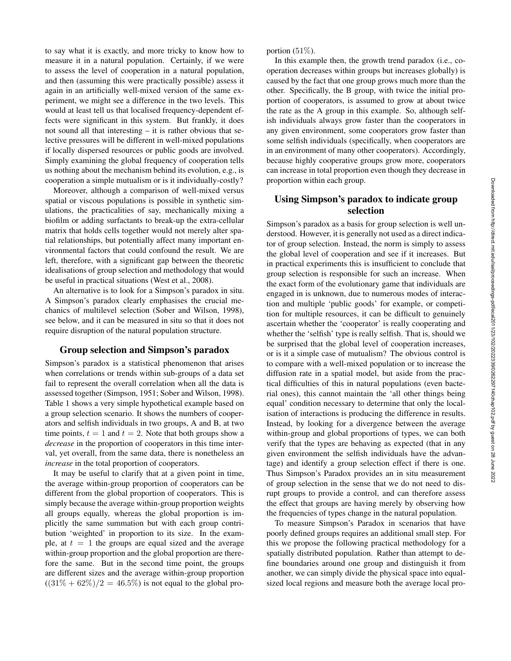to say what it is exactly, and more tricky to know how to measure it in a natural population. Certainly, if we were to assess the level of cooperation in a natural population, and then (assuming this were practically possible) assess it again in an artificially well-mixed version of the same experiment, we might see a difference in the two levels. This would at least tell us that localised frequency-dependent effects were significant in this system. But frankly, it does not sound all that interesting – it is rather obvious that selective pressures will be different in well-mixed populations if locally dispersed resources or public goods are involved. Simply examining the global frequency of cooperation tells us nothing about the mechanism behind its evolution, e.g., is cooperation a simple mutualism or is it individually-costly?

Moreover, although a comparison of well-mixed versus spatial or viscous populations is possible in synthetic simulations, the practicalities of say, mechanically mixing a biofilm or adding surfactants to break-up the extra-cellular matrix that holds cells together would not merely alter spatial relationships, but potentially affect many important environmental factors that could confound the result. We are left, therefore, with a significant gap between the theoretic idealisations of group selection and methodology that would be useful in practical situations (West et al., 2008).

An alternative is to look for a Simpson's paradox in situ. A Simpson's paradox clearly emphasises the crucial mechanics of multilevel selection (Sober and Wilson, 1998), see below, and it can be measured in situ so that it does not require disruption of the natural population structure.

### Group selection and Simpson's paradox

Simpson's paradox is a statistical phenomenon that arises when correlations or trends within sub-groups of a data set fail to represent the overall correlation when all the data is assessed together (Simpson, 1951; Sober and Wilson, 1998). Table 1 shows a very simple hypothetical example based on a group selection scenario. It shows the numbers of cooperators and selfish individuals in two groups, A and B, at two time points,  $t = 1$  and  $t = 2$ . Note that both groups show a *decrease* in the proportion of cooperators in this time interval, yet overall, from the same data, there is nonetheless an *increase* in the total proportion of cooperators.

It may be useful to clarify that at a given point in time, the average within-group proportion of cooperators can be different from the global proportion of cooperators. This is simply because the average within-group proportion weights all groups equally, whereas the global proportion is implicitly the same summation but with each group contribution 'weighted' in proportion to its size. In the example, at  $t = 1$  the groups are equal sized and the average within-group proportion and the global proportion are therefore the same. But in the second time point, the groups are different sizes and the average within-group proportion  $((31\% + 62\%)/2 = 46.5\%)$  is not equal to the global proportion (51%).

In this example then, the growth trend paradox (i.e., cooperation decreases within groups but increases globally) is caused by the fact that one group grows much more than the other. Specifically, the B group, with twice the initial proportion of cooperators, is assumed to grow at about twice the rate as the A group in this example. So, although selfish individuals always grow faster than the cooperators in any given environment, some cooperators grow faster than some selfish individuals (specifically, when cooperators are in an environment of many other cooperators). Accordingly, because highly cooperative groups grow more, cooperators can increase in total proportion even though they decrease in proportion within each group.

# Using Simpson's paradox to indicate group selection

Simpson's paradox as a basis for group selection is well understood. However, it is generally not used as a direct indicator of group selection. Instead, the norm is simply to assess the global level of cooperation and see if it increases. But in practical experiments this is insufficient to conclude that group selection is responsible for such an increase. When the exact form of the evolutionary game that individuals are engaged in is unknown, due to numerous modes of interaction and multiple 'public goods' for example, or competition for multiple resources, it can be difficult to genuinely ascertain whether the 'cooperator' is really cooperating and whether the 'selfish' type is really selfish. That is, should we be surprised that the global level of cooperation increases, or is it a simple case of mutualism? The obvious control is to compare with a well-mixed population or to increase the diffusion rate in a spatial model, but aside from the practical difficulties of this in natural populations (even bacterial ones), this cannot maintain the 'all other things being equal' condition necessary to determine that only the localisation of interactions is producing the difference in results. Instead, by looking for a divergence between the average within-group and global proportions of types, we can both verify that the types are behaving as expected (that in any given environment the selfish individuals have the advantage) and identify a group selection effect if there is one. Thus Simpson's Paradox provides an in situ measurement of group selection in the sense that we do not need to disrupt groups to provide a control, and can therefore assess the effect that groups are having merely by observing how the frequencies of types change in the natural population.

To measure Simpson's Paradox in scenarios that have poorly defined groups requires an additional small step. For this we propose the following practical methodology for a spatially distributed population. Rather than attempt to define boundaries around one group and distinguish it from another, we can simply divide the physical space into equalsized local regions and measure both the average local pro-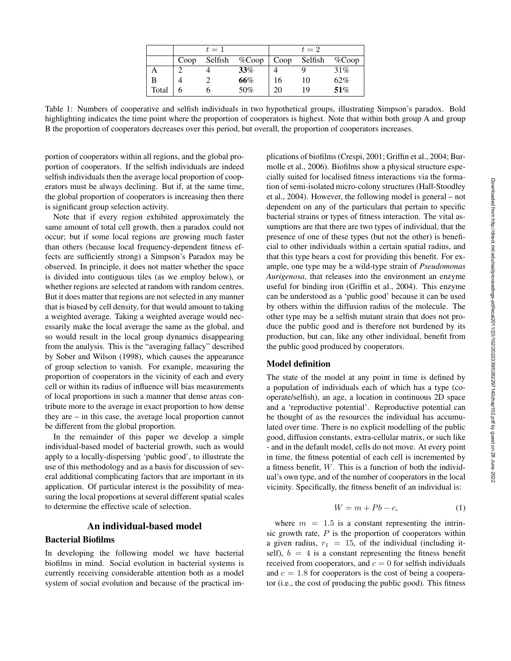|       |      | $t=1$ |                          |    | $t=2$   |           |
|-------|------|-------|--------------------------|----|---------|-----------|
|       | Coop |       | Selfish $\%$ Coop   Coop |    | Selfish | $\%$ Coop |
|       |      |       | $33\%$                   |    |         | 31%       |
| в     |      |       | 66%                      | 16 | 10      | 62%       |
| Total |      |       | 50%                      | 20 | 19      | 51%       |

Table 1: Numbers of cooperative and selfish individuals in two hypothetical groups, illustrating Simpson's paradox. Bold highlighting indicates the time point where the proportion of cooperators is highest. Note that within both group A and group B the proportion of cooperators decreases over this period, but overall, the proportion of cooperators increases.

portion of cooperators within all regions, and the global proportion of cooperators. If the selfish individuals are indeed selfish individuals then the average local proportion of cooperators must be always declining. But if, at the same time, the global proportion of cooperators is increasing then there is significant group selection activity.

Note that if every region exhibited approximately the same amount of total cell growth, then a paradox could not occur; but if some local regions are growing much faster than others (because local frequency-dependent fitness effects are sufficiently strong) a Simpson's Paradox may be observed. In principle, it does not matter whether the space is divided into contiguous tiles (as we employ below), or whether regions are selected at random with random centres. But it does matter that regions are not selected in any manner that is biased by cell density, for that would amount to taking a weighted average. Taking a weighted average would necessarily make the local average the same as the global, and so would result in the local group dynamics disappearing from the analysis. This is the "averaging fallacy" described by Sober and Wilson (1998), which causes the appearance of group selection to vanish. For example, measuring the proportion of cooperators in the vicinity of each and every cell or within its radius of influence will bias measurements of local proportions in such a manner that dense areas contribute more to the average in exact proportion to how dense they are – in this case, the average local proportion cannot be different from the global proportion.

In the remainder of this paper we develop a simple individual-based model of bacterial growth, such as would apply to a locally-dispersing 'public good', to illustrate the use of this methodology and as a basis for discussion of several additional complicating factors that are important in its application. Of particular interest is the possibility of measuring the local proportions at several different spatial scales to determine the effective scale of selection.

#### An individual-based model

#### Bacterial Biofilms

In developing the following model we have bacterial biofilms in mind. Social evolution in bacterial systems is currently receiving considerable attention both as a model system of social evolution and because of the practical implications of biofilms (Crespi, 2001; Griffin et al., 2004; Burmolle et al., 2006). Biofilms show a physical structure especially suited for localised fitness interactions via the formation of semi-isolated micro-colony structures (Hall-Stoodley et al., 2004). However, the following model is general – not dependent on any of the particulars that pertain to specific bacterial strains or types of fitness interaction. The vital assumptions are that there are two types of individual, that the presence of one of these types (but not the other) is beneficial to other individuals within a certain spatial radius, and that this type bears a cost for providing this benefit. For example, one type may be a wild-type strain of *Pseudomonas Aurigenosa*, that releases into the environment an enzyme useful for binding iron (Griffin et al., 2004). This enzyme can be understood as a 'public good' because it can be used by others within the diffusion radius of the molecule. The other type may be a selfish mutant strain that does not produce the public good and is therefore not burdened by its production, but can, like any other individual, benefit from the public good produced by cooperators.

## Model definition

The state of the model at any point in time is defined by a population of individuals each of which has a type (cooperate/selfish), an age, a location in continuous 2D space and a 'reproductive potential'. Reproductive potential can be thought of as the resources the individual has accumulated over time. There is no explicit modelling of the public good, diffusion constants, extra-cellular matrix, or such like - and in the default model, cells do not move. At every point in time, the fitness potential of each cell is incremented by a fitness benefit, W. This is a function of both the individual's own type, and of the number of cooperators in the local vicinity. Specifically, the fitness benefit of an individual is:

$$
W = m + Pb - c,\tag{1}
$$

where  $m = 1.5$  is a constant representing the intrinsic growth rate,  $P$  is the proportion of cooperators within a given radius,  $r_1 = 15$ , of the individual (including itself),  $b = 4$  is a constant representing the fitness benefit received from cooperators, and  $c = 0$  for selfish individuals and  $c = 1.8$  for cooperators is the cost of being a cooperator (i.e., the cost of producing the public good). This fitness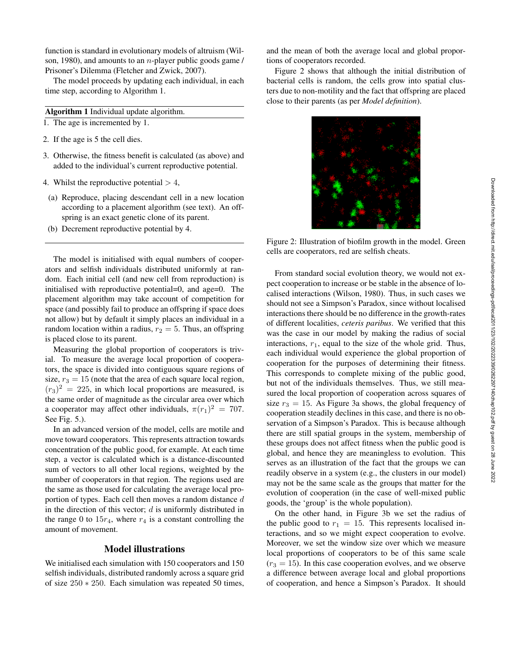function is standard in evolutionary models of altruism (Wilson, 1980), and amounts to an n-player public goods game / Prisoner's Dilemma (Fletcher and Zwick, 2007).

The model proceeds by updating each individual, in each time step, according to Algorithm 1.

## Algorithm 1 Individual update algorithm.

- 1. The age is incremented by 1.
- 2. If the age is 5 the cell dies.
- 3. Otherwise, the fitness benefit is calculated (as above) and added to the individual's current reproductive potential.
- 4. Whilst the reproductive potential  $> 4$ ,
- (a) Reproduce, placing descendant cell in a new location according to a placement algorithm (see text). An offspring is an exact genetic clone of its parent.
- (b) Decrement reproductive potential by 4.

The model is initialised with equal numbers of cooperators and selfish individuals distributed uniformly at random. Each initial cell (and new cell from reproduction) is initialised with reproductive potential=0, and age=0. The placement algorithm may take account of competition for space (and possibly fail to produce an offspring if space does not allow) but by default it simply places an individual in a random location within a radius,  $r_2 = 5$ . Thus, an offspring is placed close to its parent.

Measuring the global proportion of cooperators is trivial. To measure the average local proportion of cooperators, the space is divided into contiguous square regions of size,  $r_3 = 15$  (note that the area of each square local region,  $(r_3)^2 = 225$ , in which local proportions are measured, is the same order of magnitude as the circular area over which a cooperator may affect other individuals,  $\pi(r_1)^2 = 707$ . See Fig. 5.).

In an advanced version of the model, cells are motile and move toward cooperators. This represents attraction towards concentration of the public good, for example. At each time step, a vector is calculated which is a distance-discounted sum of vectors to all other local regions, weighted by the number of cooperators in that region. The regions used are the same as those used for calculating the average local proportion of types. Each cell then moves a random distance d in the direction of this vector;  $d$  is uniformly distributed in the range 0 to  $15r_4$ , where  $r_4$  is a constant controlling the amount of movement.

#### Model illustrations

We initialised each simulation with 150 cooperators and 150 selfish individuals, distributed randomly across a square grid of size 250 ∗ 250. Each simulation was repeated 50 times,

and the mean of both the average local and global proportions of cooperators recorded.

Figure 2 shows that although the initial distribution of bacterial cells is random, the cells grow into spatial clusters due to non-motility and the fact that offspring are placed close to their parents (as per *Model definition*).



Figure 2: Illustration of biofilm growth in the model. Green cells are cooperators, red are selfish cheats.

From standard social evolution theory, we would not expect cooperation to increase or be stable in the absence of localised interactions (Wilson, 1980). Thus, in such cases we should not see a Simpson's Paradox, since without localised interactions there should be no difference in the growth-rates of different localities, *ceteris paribus*. We verified that this was the case in our model by making the radius of social interactions,  $r_1$ , equal to the size of the whole grid. Thus, each individual would experience the global proportion of cooperation for the purposes of determining their fitness. This corresponds to complete mixing of the public good, but not of the individuals themselves. Thus, we still measured the local proportion of cooperation across squares of size  $r_3 = 15$ . As Figure 3a shows, the global frequency of cooperation steadily declines in this case, and there is no observation of a Simpson's Paradox. This is because although there are still spatial groups in the system, membership of these groups does not affect fitness when the public good is global, and hence they are meaningless to evolution. This serves as an illustration of the fact that the groups we can readily observe in a system (e.g., the clusters in our model) may not be the same scale as the groups that matter for the evolution of cooperation (in the case of well-mixed public goods, the 'group' is the whole population).

On the other hand, in Figure 3b we set the radius of the public good to  $r_1 = 15$ . This represents localised interactions, and so we might expect cooperation to evolve. Moreover, we set the window size over which we measure local proportions of cooperators to be of this same scale  $(r<sub>3</sub> = 15)$ . In this case cooperation evolves, and we observe a difference between average local and global proportions of cooperation, and hence a Simpson's Paradox. It should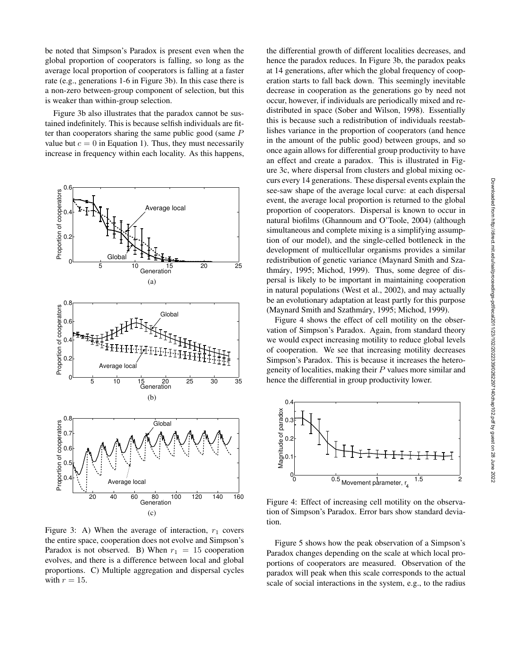be noted that Simpson's Paradox is present even when the global proportion of cooperators is falling, so long as the average local proportion of cooperators is falling at a faster rate (e.g., generations 1-6 in Figure 3b). In this case there is a non-zero between-group component of selection, but this is weaker than within-group selection.

Figure 3b also illustrates that the paradox cannot be sustained indefinitely. This is because selfish individuals are fitter than cooperators sharing the same public good (same  $P$ value but  $c = 0$  in Equation 1). Thus, they must necessarily increase in frequency within each locality. As this happens,



Figure 3: A) When the average of interaction,  $r_1$  covers the entire space, cooperation does not evolve and Simpson's Paradox is not observed. B) When  $r_1 = 15$  cooperation evolves, and there is a difference between local and global proportions. C) Multiple aggregation and dispersal cycles with  $r = 15$ .

the differential growth of different localities decreases, and hence the paradox reduces. In Figure 3b, the paradox peaks at 14 generations, after which the global frequency of cooperation starts to fall back down. This seemingly inevitable decrease in cooperation as the generations go by need not occur, however, if individuals are periodically mixed and redistributed in space (Sober and Wilson, 1998). Essentially this is because such a redistribution of individuals reestablishes variance in the proportion of cooperators (and hence in the amount of the public good) between groups, and so once again allows for differential group productivity to have an effect and create a paradox. This is illustrated in Figure 3c, where dispersal from clusters and global mixing occurs every 14 generations. These dispersal events explain the see-saw shape of the average local curve: at each dispersal event, the average local proportion is returned to the global proportion of cooperators. Dispersal is known to occur in natural biofilms (Ghannoum and O'Toole, 2004) (although simultaneous and complete mixing is a simplifying assumption of our model), and the single-celled bottleneck in the development of multicellular organisms provides a similar redistribution of genetic variance (Maynard Smith and Szathmáry, 1995; Michod, 1999). Thus, some degree of dispersal is likely to be important in maintaining cooperation in natural populations (West et al., 2002), and may actually be an evolutionary adaptation at least partly for this purpose (Maynard Smith and Szathmáry, 1995; Michod, 1999).

Figure 4 shows the effect of cell motility on the observation of Simpson's Paradox. Again, from standard theory we would expect increasing motility to reduce global levels of cooperation. We see that increasing motility decreases Simpson's Paradox. This is because it increases the heterogeneity of localities, making their  $P$  values more similar and hence the differential in group productivity lower.



Figure 4: Effect of increasing cell motility on the observation of Simpson's Paradox. Error bars show standard deviation.

Figure 5 shows how the peak observation of a Simpson's Paradox changes depending on the scale at which local proportions of cooperators are measured. Observation of the paradox will peak when this scale corresponds to the actual scale of social interactions in the system, e.g., to the radius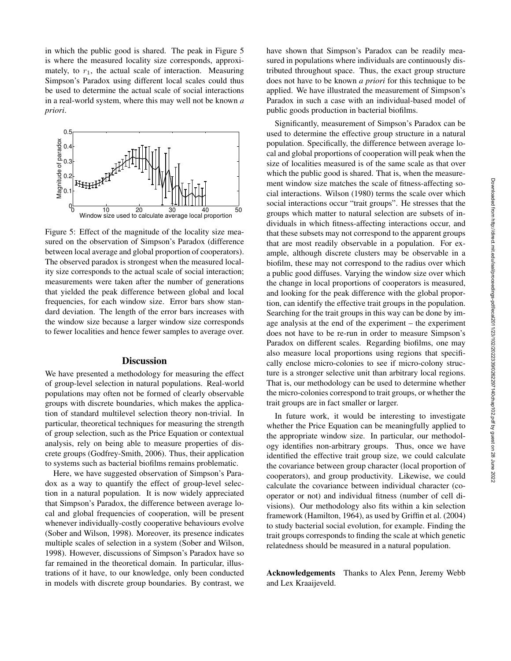in which the public good is shared. The peak in Figure 5 is where the measured locality size corresponds, approximately, to  $r_1$ , the actual scale of interaction. Measuring Simpson's Paradox using different local scales could thus be used to determine the actual scale of social interactions in a real-world system, where this may well not be known *a priori*.



Figure 5: Effect of the magnitude of the locality size measured on the observation of Simpson's Paradox (difference between local average and global proportion of cooperators). The observed paradox is strongest when the measured locality size corresponds to the actual scale of social interaction; measurements were taken after the number of generations that yielded the peak difference between global and local frequencies, for each window size. Error bars show standard deviation. The length of the error bars increases with the window size because a larger window size corresponds to fewer localities and hence fewer samples to average over.

#### **Discussion**

We have presented a methodology for measuring the effect of group-level selection in natural populations. Real-world populations may often not be formed of clearly observable groups with discrete boundaries, which makes the application of standard multilevel selection theory non-trivial. In particular, theoretical techniques for measuring the strength of group selection, such as the Price Equation or contextual analysis, rely on being able to measure properties of discrete groups (Godfrey-Smith, 2006). Thus, their application to systems such as bacterial biofilms remains problematic.

Here, we have suggested observation of Simpson's Paradox as a way to quantify the effect of group-level selection in a natural population. It is now widely appreciated that Simpson's Paradox, the difference between average local and global frequencies of cooperation, will be present whenever individually-costly cooperative behaviours evolve (Sober and Wilson, 1998). Moreover, its presence indicates multiple scales of selection in a system (Sober and Wilson, 1998). However, discussions of Simpson's Paradox have so far remained in the theoretical domain. In particular, illustrations of it have, to our knowledge, only been conducted in models with discrete group boundaries. By contrast, we

have shown that Simpson's Paradox can be readily measured in populations where individuals are continuously distributed throughout space. Thus, the exact group structure does not have to be known *a priori* for this technique to be applied. We have illustrated the measurement of Simpson's Paradox in such a case with an individual-based model of public goods production in bacterial biofilms.

Significantly, measurement of Simpson's Paradox can be used to determine the effective group structure in a natural population. Specifically, the difference between average local and global proportions of cooperation will peak when the size of localities measured is of the same scale as that over which the public good is shared. That is, when the measurement window size matches the scale of fitness-affecting social interactions. Wilson (1980) terms the scale over which social interactions occur "trait groups". He stresses that the groups which matter to natural selection are subsets of individuals in which fitness-affecting interactions occur, and that these subsets may not correspond to the apparent groups that are most readily observable in a population. For example, although discrete clusters may be observable in a biofilm, these may not correspond to the radius over which a public good diffuses. Varying the window size over which the change in local proportions of cooperators is measured, and looking for the peak difference with the global proportion, can identify the effective trait groups in the population. Searching for the trait groups in this way can be done by image analysis at the end of the experiment – the experiment does not have to be re-run in order to measure Simpson's Paradox on different scales. Regarding biofilms, one may also measure local proportions using regions that specifically enclose micro-colonies to see if micro-colony structure is a stronger selective unit than arbitrary local regions. That is, our methodology can be used to determine whether the micro-colonies correspond to trait groups, or whether the trait groups are in fact smaller or larger.

In future work, it would be interesting to investigate whether the Price Equation can be meaningfully applied to the appropriate window size. In particular, our methodology identifies non-arbitrary groups. Thus, once we have identified the effective trait group size, we could calculate the covariance between group character (local proportion of cooperators), and group productivity. Likewise, we could calculate the covariance between individual character (cooperator or not) and individual fitness (number of cell divisions). Our methodology also fits within a kin selection framework (Hamilton, 1964), as used by Griffin et al. (2004) to study bacterial social evolution, for example. Finding the trait groups corresponds to finding the scale at which genetic relatedness should be measured in a natural population.

Acknowledgements Thanks to Alex Penn, Jeremy Webb and Lex Kraaijeveld.